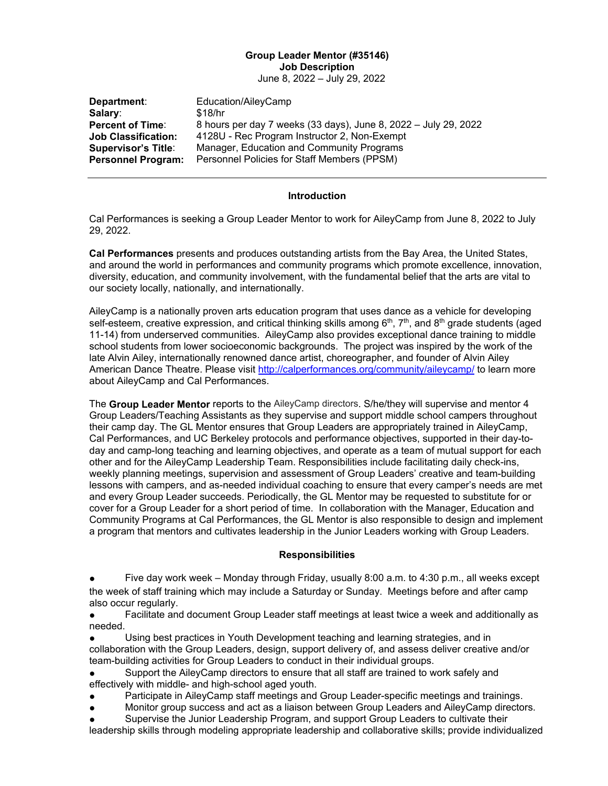# **Group Leader Mentor (#35146) Job Description**

June 8, 2022 – July 29, 2022

| Department:                | Education/AileyCamp                                             |
|----------------------------|-----------------------------------------------------------------|
| Salary:                    | \$18/hr                                                         |
| <b>Percent of Time:</b>    | 8 hours per day 7 weeks (33 days), June 8, 2022 – July 29, 2022 |
| <b>Job Classification:</b> | 4128U - Rec Program Instructor 2, Non-Exempt                    |
| <b>Supervisor's Title:</b> | Manager, Education and Community Programs                       |
| <b>Personnel Program:</b>  | Personnel Policies for Staff Members (PPSM)                     |

#### **Introduction**

Cal Performances is seeking a Group Leader Mentor to work for AileyCamp from June 8, 2022 to July 29, 2022.

**Cal Performances** presents and produces outstanding artists from the Bay Area, the United States, and around the world in performances and community programs which promote excellence, innovation, diversity, education, and community involvement, with the fundamental belief that the arts are vital to our society locally, nationally, and internationally.

AileyCamp is a nationally proven arts education program that uses dance as a vehicle for developing self-esteem, creative expression, and critical thinking skills among  $6<sup>th</sup>$ ,  $7<sup>th</sup>$ , and  $8<sup>th</sup>$  grade students (aged 11-14) from underserved communities. AileyCamp also provides exceptional dance training to middle school students from lower socioeconomic backgrounds. The project was inspired by the work of the late Alvin Ailey, internationally renowned dance artist, choreographer, and founder of Alvin Ailey American Dance Theatre. Please visit<http://calperformances.org/community/aileycamp/> to learn more about AileyCamp and Cal Performances.

The **Group Leader Mentor** reports to the AileyCamp directors. S/he/they will supervise and mentor 4 Group Leaders/Teaching Assistants as they supervise and support middle school campers throughout their camp day. The GL Mentor ensures that Group Leaders are appropriately trained in AileyCamp, Cal Performances, and UC Berkeley protocols and performance objectives, supported in their day-today and camp-long teaching and learning objectives, and operate as a team of mutual support for each other and for the AileyCamp Leadership Team. Responsibilities include facilitating daily check-ins, weekly planning meetings, supervision and assessment of Group Leaders' creative and team-building lessons with campers, and as-needed individual coaching to ensure that every camper's needs are met and every Group Leader succeeds. Periodically, the GL Mentor may be requested to substitute for or cover for a Group Leader for a short period of time. In collaboration with the Manager, Education and Community Programs at Cal Performances, the GL Mentor is also responsible to design and implement a program that mentors and cultivates leadership in the Junior Leaders working with Group Leaders.

#### **Responsibilities**

Five day work week – Monday through Friday, usually 8:00 a.m. to 4:30 p.m., all weeks except the week of staff training which may include a Saturday or Sunday. Meetings before and after camp also occur regularly.

● Facilitate and document Group Leader staff meetings at least twice a week and additionally as needed.

Using best practices in Youth Development teaching and learning strategies, and in collaboration with the Group Leaders, design, support delivery of, and assess deliver creative and/or team-building activities for Group Leaders to conduct in their individual groups.

Support the AileyCamp directors to ensure that all staff are trained to work safely and effectively with middle- and high-school aged youth.

- Participate in AileyCamp staff meetings and Group Leader-specific meetings and trainings.
- Monitor group success and act as a liaison between Group Leaders and AileyCamp directors.
- Supervise the Junior Leadership Program, and support Group Leaders to cultivate their

leadership skills through modeling appropriate leadership and collaborative skills; provide individualized